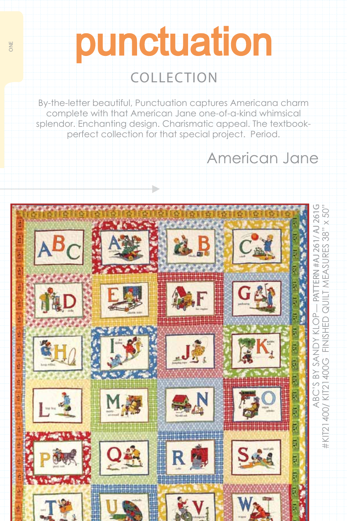## <u>**Inctuation**</u>

one

## collection

By-the-letter beautiful, Punctuation captures Americana charm complete with that American Jane one-of-a-kind whimsical splendor. Enchanting design. Charismatic appeal. The textbookperfect collection for that special project. Period.

## American Jane

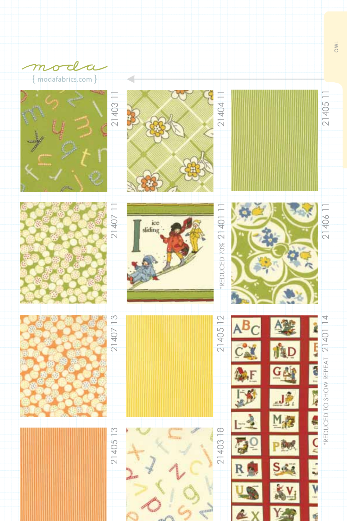









21405 13

2140513









\*REDUCED TO SHOW REPEAT

\*REDUCED TO SHOW REPEAT 21401 14

21401 14

21405 11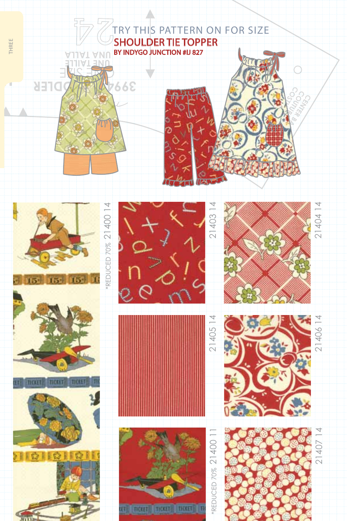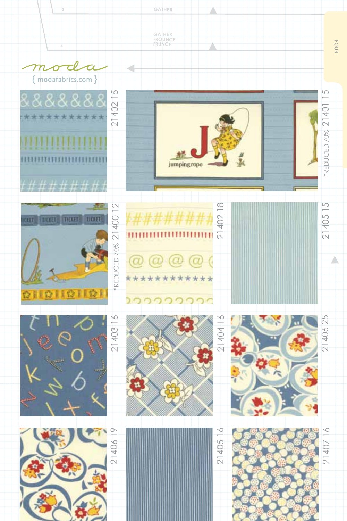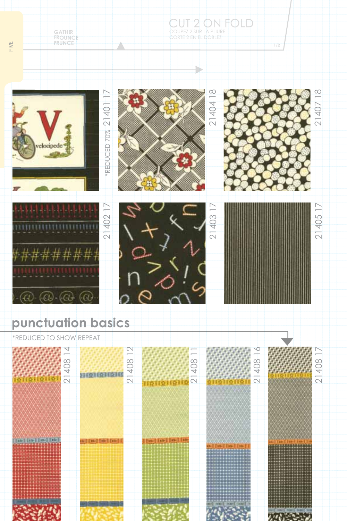**GATHR<br>FROUNC<br>FRUNCE** 

FIVE









CUT 2 ON FOLD

Б





 $\frac{8}{1}$ 

 $rac{1}{4}$